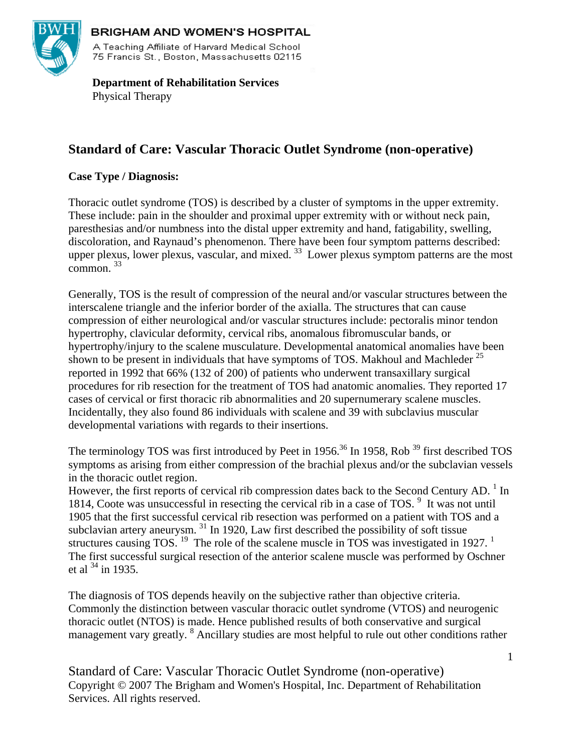

#### **BRIGHAM AND WOMEN'S HOSPITAL**

A Teaching Affiliate of Harvard Medical School 75 Francis St., Boston, Massachusetts 02115

 **Department of Rehabilitation Services**  Physical Therapy

# **Standard of Care: Vascular Thoracic Outlet Syndrome (non-operative)**

# **Case Type / Diagnosis:**

Thoracic outlet syndrome (TOS) is described by a cluster of symptoms in the upper extremity. These include: pain in the shoulder and proximal upper extremity with or without neck pain, paresthesias and/or numbness into the distal upper extremity and hand, fatigability, swelling, discoloration, and Raynaud's phenomenon. There have been four symptom patterns described: upper plexus, lower plexus, vascular, and mixed.  $33$  Lower plexus symptom patterns are the most  $common$ .  $33$ 

Generally, TOS is the result of compression of the neural and/or vascular structures between the interscalene triangle and the inferior border of the axialla. The structures that can cause compression of either neurological and/or vascular structures include: pectoralis minor tendon hypertrophy, clavicular deformity, cervical ribs, anomalous fibromuscular bands, or hypertrophy/injury to the scalene musculature. Developmental anatomical anomalies have been shown to be present in individuals that have symptoms of TOS. Makhoul and Machleder<sup>25</sup> reported in 1992 that 66% (132 of 200) of patients who underwent transaxillary surgical procedures for rib resection for the treatment of TOS had anatomic anomalies. They reported 17 cases of cervical or first thoracic rib abnormalities and 20 supernumerary scalene muscles. Incidentally, they also found 86 individuals with scalene and 39 with subclavius muscular developmental variations with regards to their insertions.

The terminology TOS was first introduced by Peet in 1956.<sup>36</sup> In 1958, Rob<sup>39</sup> first described TOS symptoms as arising from either compression of the brachial plexus and/or the subclavian vessels in the thoracic outlet region.

However, the first reports of cervical rib compression dates back to the Second Century AD.<sup>1</sup> In 1814, Coote was unsuccessful in resecting the cervical rib in a case of TOS.<sup>9</sup> It was not until 1905 that the first successful cervical rib resection was performed on a patient with TOS and a subclavian artery aneurysm.<sup>31</sup> In 1920, Law first described the possibility of soft tissue structures causing TOS.  $^{19}$  The role of the scalene muscle in TOS was investigated in 1927. <sup>1</sup> The first successful surgical resection of the anterior scalene muscle was performed by Oschner et al  $^{34}$  in 1935.

The diagnosis of TOS depends heavily on the subjective rather than objective criteria. Commonly the distinction between vascular thoracic outlet syndrome (VTOS) and neurogenic thoracic outlet (NTOS) is made. Hence published results of both conservative and surgical management vary greatly. <sup>8</sup> Ancillary studies are most helpful to rule out other conditions rather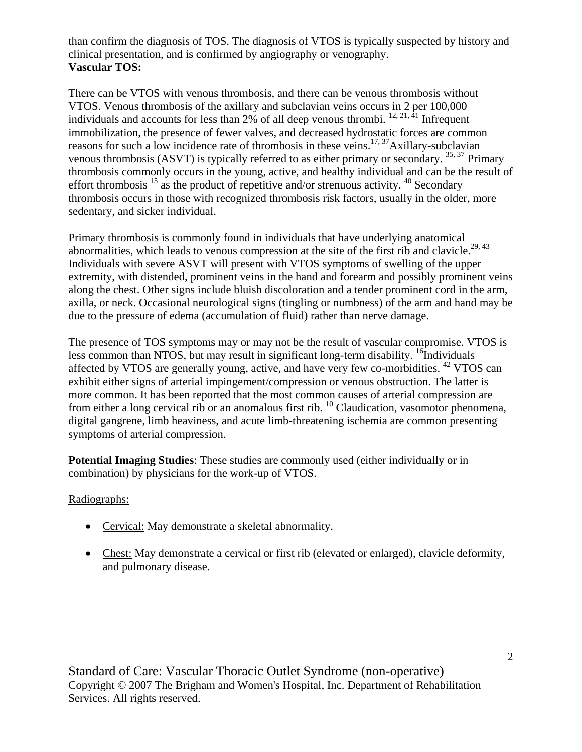than confirm the diagnosis of TOS. The diagnosis of VTOS is typically suspected by history and clinical presentation, and is confirmed by angiography or venography. **Vascular TOS:** 

There can be VTOS with venous thrombosis, and there can be venous thrombosis without VTOS. Venous thrombosis of the axillary and subclavian veins occurs in 2 per 100,000 individuals and accounts for less than 2% of all deep venous thrombi.  $^{12, 21, 41}$  Infrequent immobilization, the presence of fewer valves, and decreased hydrostatic forces are common reasons for such a low incidence rate of thrombosis in these veins.<sup>17, 37</sup>Axillary-subclavian venous thrombosis (ASVT) is typically referred to as either primary or secondary.  $35,37$  Primary thrombosis commonly occurs in the young, active, and healthy individual and can be the result of effort thrombosis  $15$  as the product of repetitive and/or strenuous activity.  $40$  Secondary thrombosis occurs in those with recognized thrombosis risk factors, usually in the older, more sedentary, and sicker individual.

Primary thrombosis is commonly found in individuals that have underlying anatomical abnormalities, which leads to venous compression at the site of the first rib and clavicle.<sup>29, 43</sup> Individuals with severe ASVT will present with VTOS symptoms of swelling of the upper extremity, with distended, prominent veins in the hand and forearm and possibly prominent veins along the chest. Other signs include bluish discoloration and a tender prominent cord in the arm, axilla, or neck. Occasional neurological signs (tingling or numbness) of the arm and hand may be due to the pressure of edema (accumulation of fluid) rather than nerve damage.

The presence of TOS symptoms may or may not be the result of vascular compromise. VTOS is less common than NTOS, but may result in significant long-term disability.  $^{16}$ Individuals affected by VTOS are generally young, active, and have very few co-morbidities. 42 VTOS can exhibit either signs of arterial impingement/compression or venous obstruction. The latter is more common. It has been reported that the most common causes of arterial compression are from either a long cervical rib or an anomalous first rib. 10 Claudication, vasomotor phenomena, digital gangrene, limb heaviness, and acute limb-threatening ischemia are common presenting symptoms of arterial compression.

**Potential Imaging Studies**: These studies are commonly used (either individually or in combination) by physicians for the work-up of VTOS.

# Radiographs:

- Cervical: May demonstrate a skeletal abnormality.
- Chest: May demonstrate a cervical or first rib (elevated or enlarged), clavicle deformity, and pulmonary disease.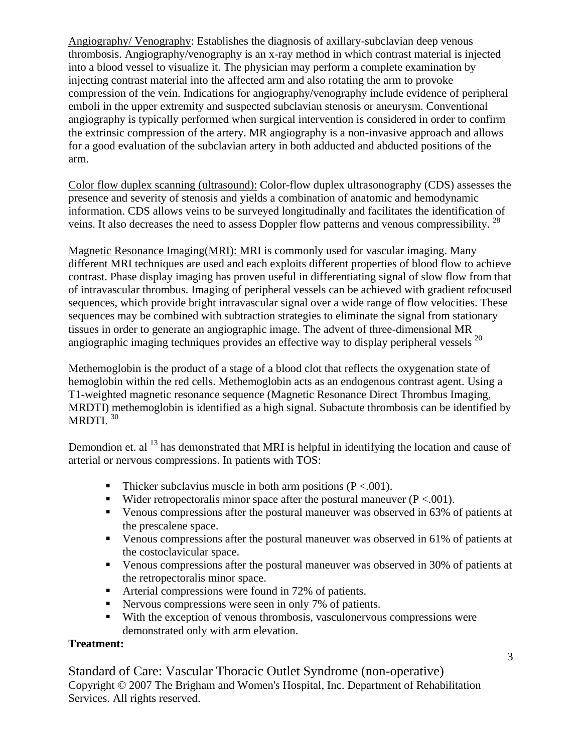Angiography/ Venography: Establishes the diagnosis of axillary-subclavian deep venous thrombosis. Angiography/venography is an x-ray method in which contrast material is injected into a blood vessel to visualize it. The physician may perform a complete examination by injecting contrast material into the affected arm and also rotating the arm to provoke compression of the vein. Indications for angiography/venography include evidence of peripheral emboli in the upper extremity and suspected subclavian stenosis or aneurysm. Conventional angiography is typically performed when surgical intervention is considered in order to confirm the extrinsic compression of the artery. MR angiography is a non-invasive approach and allows for a good evaluation of the subclavian artery in both adducted and abducted positions of the arm.

Color flow duplex scanning (ultrasound): Color-flow duplex ultrasonography (CDS) assesses the presence and severity of stenosis and yields a combination of anatomic and hemodynamic information. CDS allows veins to be surveyed longitudinally and facilitates the identification of veins. It also decreases the need to assess Doppler flow patterns and venous compressibility. <sup>28</sup>

Magnetic Resonance Imaging(MRI): MRI is commonly used for vascular imaging. Many different MRI techniques are used and each exploits different properties of blood flow to achieve contrast. Phase display imaging has proven useful in differentiating signal of slow flow from that of intravascular thrombus. Imaging of peripheral vessels can be achieved with gradient refocused sequences, which provide bright intravascular signal over a wide range of flow velocities. These sequences may be combined with subtraction strategies to eliminate the signal from stationary tissues in order to generate an angiographic image. The advent of three-dimensional MR angiographic imaging techniques provides an effective way to display peripheral vessels<sup>20</sup>

Methemoglobin is the product of a stage of a blood clot that reflects the oxygenation state of hemoglobin within the red cells. Methemoglobin acts as an endogenous contrast agent. Using a T1-weighted magnetic resonance sequence (Magnetic Resonance Direct Thrombus Imaging, MRDTI) methemoglobin is identified as a high signal. Subactute thrombosis can be identified by MRDTI.<sup>30</sup>

Demondion et. al <sup>13</sup> has demonstrated that MRI is helpful in identifying the location and cause of arterial or nervous compressions. In patients with TOS:

- Thicker subclavius muscle in both arm positions  $(P < .001)$ .
- Wider retropectoralis minor space after the postural maneuver ( $P < .001$ ).
- Venous compressions after the postural maneuver was observed in 63% of patients at the prescalene space.
- Venous compressions after the postural maneuver was observed in 61% of patients at the costoclavicular space.
- Venous compressions after the postural maneuver was observed in 30% of patients at the retropectoralis minor space.
- Arterial compressions were found in 72% of patients.
- Nervous compressions were seen in only 7% of patients.
- With the exception of venous thrombosis, vasculonervous compressions were demonstrated only with arm elevation.

# **Treatment:**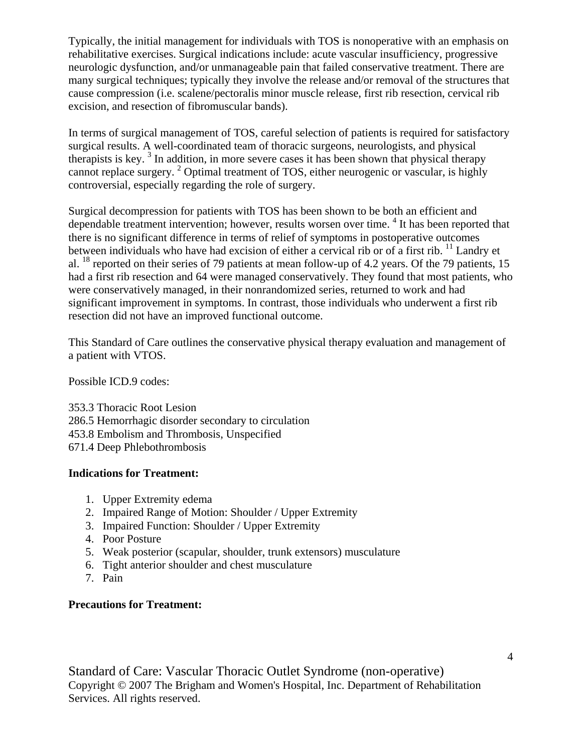Typically, the initial management for individuals with TOS is nonoperative with an emphasis on rehabilitative exercises. Surgical indications include: acute vascular insufficiency, progressive neurologic dysfunction, and/or unmanageable pain that failed conservative treatment. There are many surgical techniques; typically they involve the release and/or removal of the structures that cause compression (i.e. scalene/pectoralis minor muscle release, first rib resection, cervical rib excision, and resection of fibromuscular bands).

In terms of surgical management of TOS, careful selection of patients is required for satisfactory surgical results. A well-coordinated team of thoracic surgeons, neurologists, and physical therapists is key.<sup>3</sup> In addition, in more severe cases it has been shown that physical therapy cannot replace surgery.<sup>2</sup> Optimal treatment of TOS, either neurogenic or vascular, is highly controversial, especially regarding the role of surgery.

Surgical decompression for patients with TOS has been shown to be both an efficient and dependable treatment intervention; however, results worsen over time. <sup>4</sup> It has been reported that there is no significant difference in terms of relief of symptoms in postoperative outcomes between individuals who have had excision of either a cervical rib or of a first rib. <sup>11</sup> Landry et al. 18 reported on their series of 79 patients at mean follow-up of 4.2 years. Of the 79 patients, 15 had a first rib resection and 64 were managed conservatively. They found that most patients, who were conservatively managed, in their nonrandomized series, returned to work and had significant improvement in symptoms. In contrast, those individuals who underwent a first rib resection did not have an improved functional outcome.

This Standard of Care outlines the conservative physical therapy evaluation and management of a patient with VTOS.

Possible ICD.9 codes:

353.3 Thoracic Root Lesion 286.5 Hemorrhagic disorder secondary to circulation 453.8 Embolism and Thrombosis, Unspecified 671.4 Deep Phlebothrombosis

# **Indications for Treatment:**

- 1. Upper Extremity edema
- 2. Impaired Range of Motion: Shoulder / Upper Extremity
- 3. Impaired Function: Shoulder / Upper Extremity
- 4. Poor Posture
- 5. Weak posterior (scapular, shoulder, trunk extensors) musculature
- 6. Tight anterior shoulder and chest musculature
- 7. Pain

#### **Precautions for Treatment:**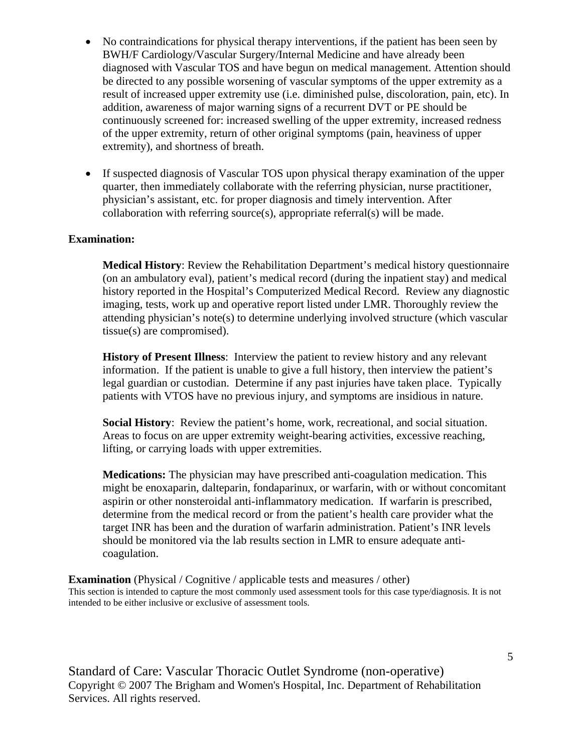- No contraindications for physical therapy interventions, if the patient has been seen by BWH/F Cardiology/Vascular Surgery/Internal Medicine and have already been diagnosed with Vascular TOS and have begun on medical management. Attention should be directed to any possible worsening of vascular symptoms of the upper extremity as a result of increased upper extremity use (i.e. diminished pulse, discoloration, pain, etc). In addition, awareness of major warning signs of a recurrent DVT or PE should be continuously screened for: increased swelling of the upper extremity, increased redness of the upper extremity, return of other original symptoms (pain, heaviness of upper extremity), and shortness of breath.
- If suspected diagnosis of Vascular TOS upon physical therapy examination of the upper quarter, then immediately collaborate with the referring physician, nurse practitioner, physician's assistant, etc. for proper diagnosis and timely intervention. After collaboration with referring source(s), appropriate referral(s) will be made.

#### **Examination:**

**Medical History**: Review the Rehabilitation Department's medical history questionnaire (on an ambulatory eval), patient's medical record (during the inpatient stay) and medical history reported in the Hospital's Computerized Medical Record. Review any diagnostic imaging, tests, work up and operative report listed under LMR. Thoroughly review the attending physician's note(s) to determine underlying involved structure (which vascular tissue(s) are compromised).

**History of Present Illness:** Interview the patient to review history and any relevant information. If the patient is unable to give a full history, then interview the patient's legal guardian or custodian. Determine if any past injuries have taken place. Typically patients with VTOS have no previous injury, and symptoms are insidious in nature.

**Social History**: Review the patient's home, work, recreational, and social situation. Areas to focus on are upper extremity weight-bearing activities, excessive reaching, lifting, or carrying loads with upper extremities.

**Medications:** The physician may have prescribed anti-coagulation medication. This might be enoxaparin, dalteparin, fondaparinux, or warfarin, with or without concomitant aspirin or other nonsteroidal anti-inflammatory medication. If warfarin is prescribed, determine from the medical record or from the patient's health care provider what the target INR has been and the duration of warfarin administration. Patient's INR levels should be monitored via the lab results section in LMR to ensure adequate anticoagulation.

**Examination** (Physical / Cognitive / applicable tests and measures / other) This section is intended to capture the most commonly used assessment tools for this case type/diagnosis. It is not intended to be either inclusive or exclusive of assessment tools.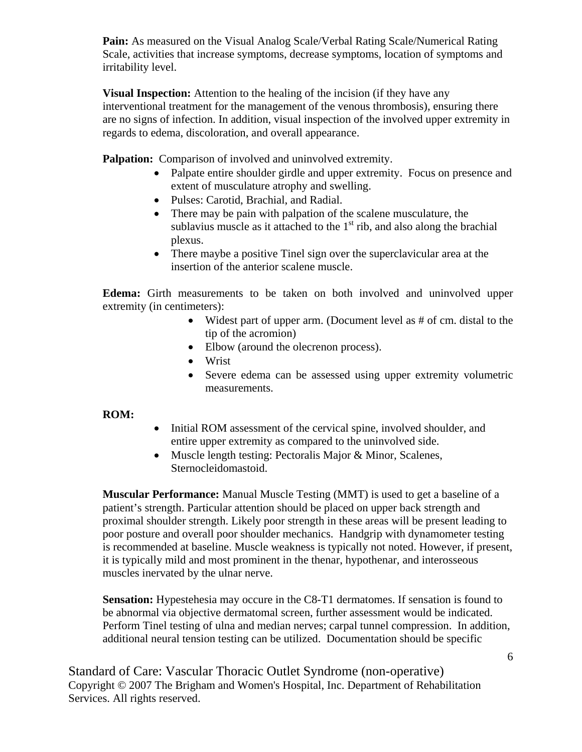**Pain:** As measured on the Visual Analog Scale/Verbal Rating Scale/Numerical Rating Scale, activities that increase symptoms, decrease symptoms, location of symptoms and irritability level.

**Visual Inspection:** Attention to the healing of the incision (if they have any interventional treatment for the management of the venous thrombosis), ensuring there are no signs of infection. In addition, visual inspection of the involved upper extremity in regards to edema, discoloration, and overall appearance.

**Palpation:** Comparison of involved and uninvolved extremity.

- Palpate entire shoulder girdle and upper extremity. Focus on presence and extent of musculature atrophy and swelling.
- Pulses: Carotid, Brachial, and Radial.
- There may be pain with palpation of the scalene musculature, the sublavius muscle as it attached to the  $1<sup>st</sup>$  rib, and also along the brachial plexus.
- There maybe a positive Tinel sign over the superclavicular area at the insertion of the anterior scalene muscle.

**Edema:** Girth measurements to be taken on both involved and uninvolved upper extremity (in centimeters):

- Widest part of upper arm. (Document level as # of cm. distal to the tip of the acromion)
- Elbow (around the olecrenon process).
- Wrist
- Severe edema can be assessed using upper extremity volumetric measurements.

#### **ROM:**

- Initial ROM assessment of the cervical spine, involved shoulder, and entire upper extremity as compared to the uninvolved side.
- Muscle length testing: Pectoralis Major & Minor, Scalenes, Sternocleidomastoid.

**Muscular Performance:** Manual Muscle Testing (MMT) is used to get a baseline of a patient's strength. Particular attention should be placed on upper back strength and proximal shoulder strength. Likely poor strength in these areas will be present leading to poor posture and overall poor shoulder mechanics. Handgrip with dynamometer testing is recommended at baseline. Muscle weakness is typically not noted. However, if present, it is typically mild and most prominent in the thenar, hypothenar, and interosseous muscles inervated by the ulnar nerve.

**Sensation:** Hypestehesia may occure in the C8-T1 dermatomes. If sensation is found to be abnormal via objective dermatomal screen, further assessment would be indicated. Perform Tinel testing of ulna and median nerves; carpal tunnel compression. In addition, additional neural tension testing can be utilized. Documentation should be specific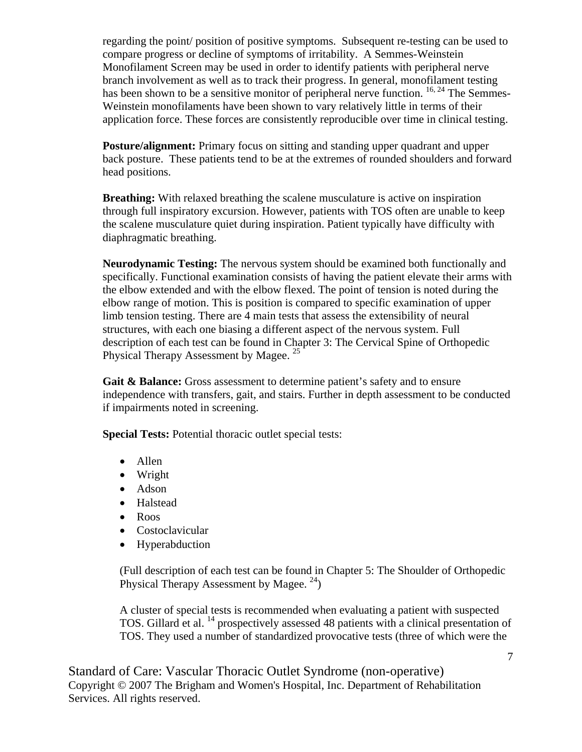regarding the point/ position of positive symptoms. Subsequent re-testing can be used to compare progress or decline of symptoms of irritability. A Semmes-Weinstein Monofilament Screen may be used in order to identify patients with peripheral nerve branch involvement as well as to track their progress. In general, monofilament testing has been shown to be a sensitive monitor of peripheral nerve function. <sup>16, 24</sup> The Semmes-Weinstein monofilaments have been shown to vary relatively little in terms of their application force. These forces are consistently reproducible over time in clinical testing.

**Posture/alignment:** Primary focus on sitting and standing upper quadrant and upper back posture. These patients tend to be at the extremes of rounded shoulders and forward head positions.

**Breathing:** With relaxed breathing the scalene musculature is active on inspiration through full inspiratory excursion. However, patients with TOS often are unable to keep the scalene musculature quiet during inspiration. Patient typically have difficulty with diaphragmatic breathing.

**Neurodynamic Testing:** The nervous system should be examined both functionally and specifically. Functional examination consists of having the patient elevate their arms with the elbow extended and with the elbow flexed. The point of tension is noted during the elbow range of motion. This is position is compared to specific examination of upper limb tension testing. There are 4 main tests that assess the extensibility of neural structures, with each one biasing a different aspect of the nervous system. Full description of each test can be found in Chapter 3: The Cervical Spine of Orthopedic Physical Therapy Assessment by Magee.<sup>25</sup>

Gait & Balance: Gross assessment to determine patient's safety and to ensure independence with transfers, gait, and stairs. Further in depth assessment to be conducted if impairments noted in screening.

**Special Tests:** Potential thoracic outlet special tests:

- Allen
- Wright
- Adson
- Halstead
- Roos
- Costoclavicular
- Hyperabduction

(Full description of each test can be found in Chapter 5: The Shoulder of Orthopedic Physical Therapy Assessment by Magee.  $^{24}$ )

A cluster of special tests is recommended when evaluating a patient with suspected TOS. Gillard et al. 14 prospectively assessed 48 patients with a clinical presentation of TOS. They used a number of standardized provocative tests (three of which were the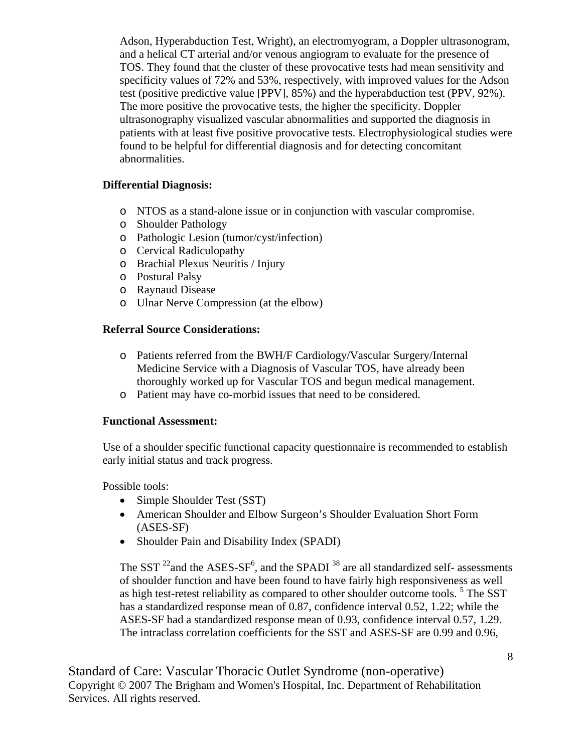Adson, Hyperabduction Test, Wright), an electromyogram, a Doppler ultrasonogram, and a helical CT arterial and/or venous angiogram to evaluate for the presence of TOS. They found that the cluster of these provocative tests had mean sensitivity and specificity values of 72% and 53%, respectively, with improved values for the Adson test (positive predictive value [PPV], 85%) and the hyperabduction test (PPV, 92%). The more positive the provocative tests, the higher the specificity. Doppler ultrasonography visualized vascular abnormalities and supported the diagnosis in patients with at least five positive provocative tests. Electrophysiological studies were found to be helpful for differential diagnosis and for detecting concomitant abnormalities.

#### **Differential Diagnosis:**

- o NTOS as a stand-alone issue or in conjunction with vascular compromise.
- o Shoulder Pathology
- o Pathologic Lesion (tumor/cyst/infection)
- o Cervical Radiculopathy
- o Brachial Plexus Neuritis / Injury
- o Postural Palsy
- o Raynaud Disease
- o Ulnar Nerve Compression (at the elbow)

#### **Referral Source Considerations:**

- o Patients referred from the BWH/F Cardiology/Vascular Surgery/Internal Medicine Service with a Diagnosis of Vascular TOS, have already been thoroughly worked up for Vascular TOS and begun medical management.
- o Patient may have co-morbid issues that need to be considered.

#### **Functional Assessment:**

Use of a shoulder specific functional capacity questionnaire is recommended to establish early initial status and track progress.

Possible tools:

- Simple Shoulder Test (SST)
- American Shoulder and Elbow Surgeon's Shoulder Evaluation Short Form (ASES-SF)
- Shoulder Pain and Disability Index (SPADI)

The SST  $^{22}$  and the ASES-SF<sup>6</sup>, and the SPADI<sup>38</sup> are all standardized self- assessments of shoulder function and have been found to have fairly high responsiveness as well as high test-retest reliability as compared to other shoulder outcome tools.<sup>5</sup> The SST has a standardized response mean of 0.87, confidence interval 0.52, 1.22; while the ASES-SF had a standardized response mean of 0.93, confidence interval 0.57, 1.29. The intraclass correlation coefficients for the SST and ASES-SF are 0.99 and 0.96,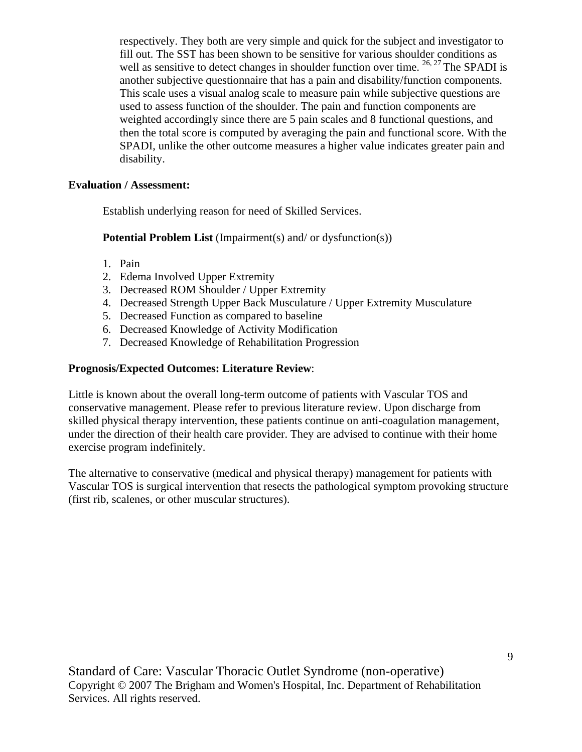respectively. They both are very simple and quick for the subject and investigator to fill out. The SST has been shown to be sensitive for various shoulder conditions as well as sensitive to detect changes in shoulder function over time.  $^{26, 27}$  The SPADI is another subjective questionnaire that has a pain and disability/function components. This scale uses a visual analog scale to measure pain while subjective questions are used to assess function of the shoulder. The pain and function components are weighted accordingly since there are 5 pain scales and 8 functional questions, and then the total score is computed by averaging the pain and functional score. With the SPADI, unlike the other outcome measures a higher value indicates greater pain and disability.

#### **Evaluation / Assessment:**

Establish underlying reason for need of Skilled Services.

**Potential Problem List** (Impairment(s) and/ or dysfunction(s))

- 1. Pain
- 2. Edema Involved Upper Extremity
- 3. Decreased ROM Shoulder / Upper Extremity
- 4. Decreased Strength Upper Back Musculature / Upper Extremity Musculature
- 5. Decreased Function as compared to baseline
- 6. Decreased Knowledge of Activity Modification
- 7. Decreased Knowledge of Rehabilitation Progression

#### **Prognosis/Expected Outcomes: Literature Review**:

Little is known about the overall long-term outcome of patients with Vascular TOS and conservative management. Please refer to previous literature review. Upon discharge from skilled physical therapy intervention, these patients continue on anti-coagulation management, under the direction of their health care provider. They are advised to continue with their home exercise program indefinitely.

The alternative to conservative (medical and physical therapy) management for patients with Vascular TOS is surgical intervention that resects the pathological symptom provoking structure (first rib, scalenes, or other muscular structures).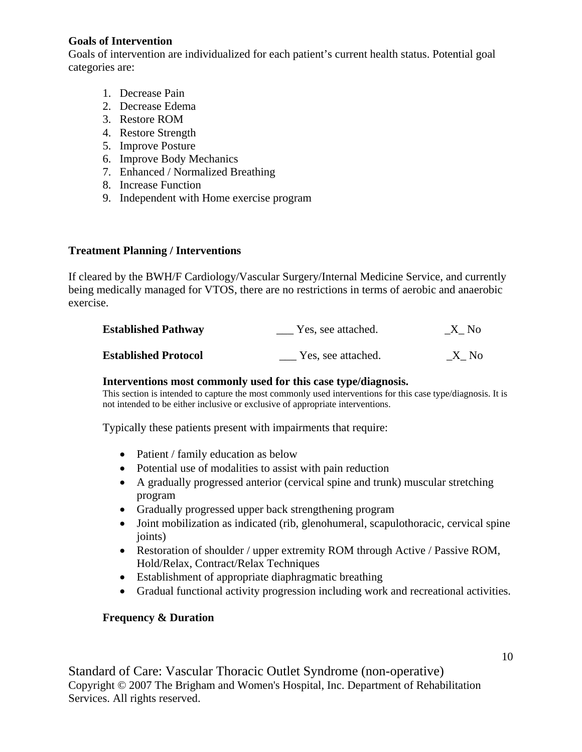#### **Goals of Intervention**

Goals of intervention are individualized for each patient's current health status. Potential goal categories are:

- 1. Decrease Pain
- 2. Decrease Edema
- 3. Restore ROM
- 4. Restore Strength
- 5. Improve Posture
- 6. Improve Body Mechanics
- 7. Enhanced / Normalized Breathing
- 8. Increase Function
- 9. Independent with Home exercise program

# **Treatment Planning / Interventions**

If cleared by the BWH/F Cardiology/Vascular Surgery/Internal Medicine Service, and currently being medically managed for VTOS, there are no restrictions in terms of aerobic and anaerobic exercise.

| <b>Established Pathway</b>  | Yes, see attached. | X No |
|-----------------------------|--------------------|------|
| <b>Established Protocol</b> | Yes, see attached. | X No |

#### **Interventions most commonly used for this case type/diagnosis.**

This section is intended to capture the most commonly used interventions for this case type/diagnosis. It is not intended to be either inclusive or exclusive of appropriate interventions.

Typically these patients present with impairments that require:

- Patient / family education as below
- Potential use of modalities to assist with pain reduction
- A gradually progressed anterior (cervical spine and trunk) muscular stretching program
- Gradually progressed upper back strengthening program
- Joint mobilization as indicated (rib, glenohumeral, scapulothoracic, cervical spine joints)
- Restoration of shoulder / upper extremity ROM through Active / Passive ROM, Hold/Relax, Contract/Relax Techniques
- Establishment of appropriate diaphragmatic breathing
- Gradual functional activity progression including work and recreational activities.

# **Frequency & Duration**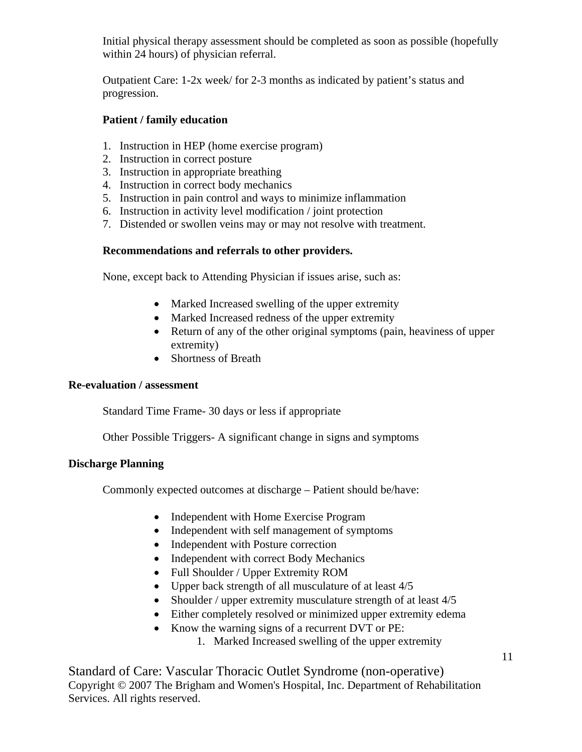Initial physical therapy assessment should be completed as soon as possible (hopefully within 24 hours) of physician referral.

Outpatient Care: 1-2x week/ for 2-3 months as indicated by patient's status and progression.

# **Patient / family education**

- 1. Instruction in HEP (home exercise program)
- 2. Instruction in correct posture
- 3. Instruction in appropriate breathing
- 4. Instruction in correct body mechanics
- 5. Instruction in pain control and ways to minimize inflammation
- 6. Instruction in activity level modification / joint protection
- 7. Distended or swollen veins may or may not resolve with treatment.

# **Recommendations and referrals to other providers.**

None, except back to Attending Physician if issues arise, such as:

- Marked Increased swelling of the upper extremity
- Marked Increased redness of the upper extremity
- Return of any of the other original symptoms (pain, heaviness of upper extremity)
- Shortness of Breath

#### **Re-evaluation / assessment**

Standard Time Frame- 30 days or less if appropriate

Other Possible Triggers- A significant change in signs and symptoms

# **Discharge Planning**

Commonly expected outcomes at discharge – Patient should be/have:

- Independent with Home Exercise Program
- Independent with self management of symptoms
- Independent with Posture correction
- Independent with correct Body Mechanics
- Full Shoulder / Upper Extremity ROM
- Upper back strength of all musculature of at least  $4/5$
- Shoulder / upper extremity musculature strength of at least 4/5
- Either completely resolved or minimized upper extremity edema
- Know the warning signs of a recurrent DVT or PE:
	- 1. Marked Increased swelling of the upper extremity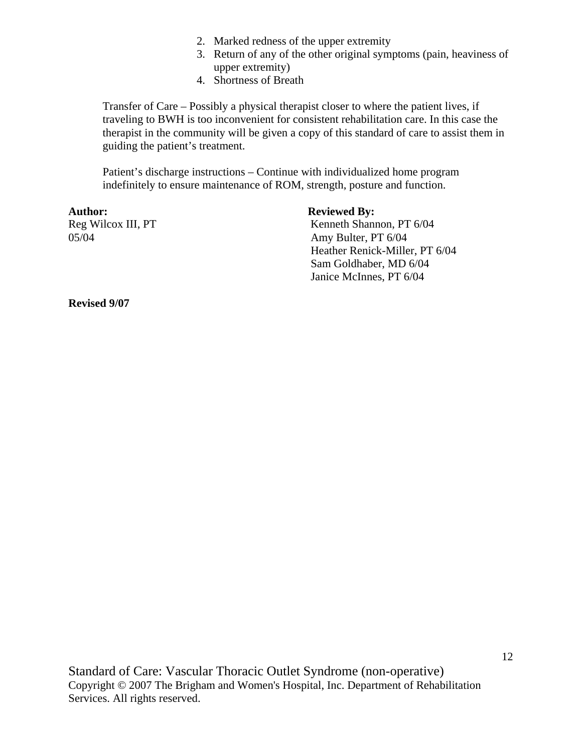- 2. Marked redness of the upper extremity
- 3. Return of any of the other original symptoms (pain, heaviness of upper extremity)
- 4. Shortness of Breath

Transfer of Care – Possibly a physical therapist closer to where the patient lives, if traveling to BWH is too inconvenient for consistent rehabilitation care. In this case the therapist in the community will be given a copy of this standard of care to assist them in guiding the patient's treatment.

Patient's discharge instructions – Continue with individualized home program indefinitely to ensure maintenance of ROM, strength, posture and function.

Author: **Reviewed By:** 

Reg Wilcox III, PT Kenneth Shannon, PT 6/04 05/04 Amy Bulter, PT 6/04 Heather Renick-Miller, PT 6/04 Sam Goldhaber, MD 6/04 Janice McInnes, PT 6/04

**Revised 9/07**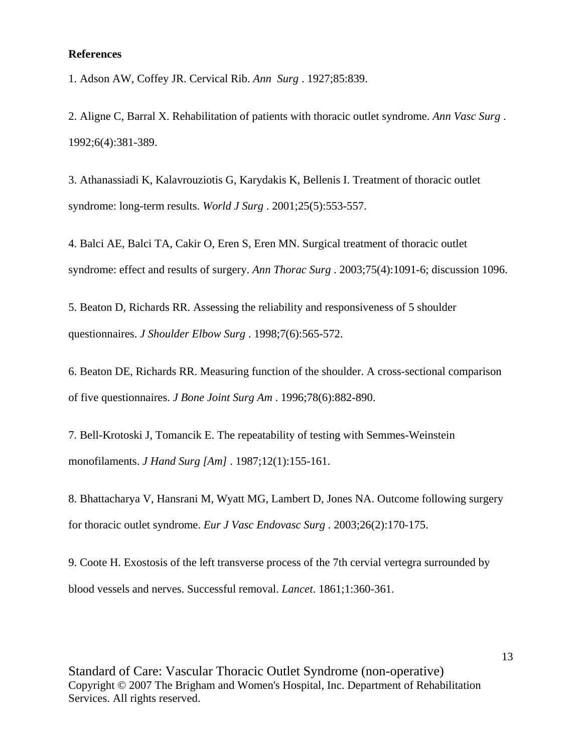#### **References**

1. Adson AW, Coffey JR. Cervical Rib. *Ann Surg* . 1927;85:839.

2. Aligne C, Barral X. Rehabilitation of patients with thoracic outlet syndrome. *Ann Vasc Surg* . 1992;6(4):381-389.

3. Athanassiadi K, Kalavrouziotis G, Karydakis K, Bellenis I. Treatment of thoracic outlet syndrome: long-term results. *World J Surg* . 2001;25(5):553-557.

4. Balci AE, Balci TA, Cakir O, Eren S, Eren MN. Surgical treatment of thoracic outlet syndrome: effect and results of surgery. *Ann Thorac Surg* . 2003;75(4):1091-6; discussion 1096.

5. Beaton D, Richards RR. Assessing the reliability and responsiveness of 5 shoulder questionnaires. *J Shoulder Elbow Surg* . 1998;7(6):565-572.

6. Beaton DE, Richards RR. Measuring function of the shoulder. A cross-sectional comparison of five questionnaires. *J Bone Joint Surg Am* . 1996;78(6):882-890.

7. Bell-Krotoski J, Tomancik E. The repeatability of testing with Semmes-Weinstein monofilaments. *J Hand Surg [Am]* . 1987;12(1):155-161.

8. Bhattacharya V, Hansrani M, Wyatt MG, Lambert D, Jones NA. Outcome following surgery for thoracic outlet syndrome. *Eur J Vasc Endovasc Surg* . 2003;26(2):170-175.

9. Coote H. Exostosis of the left transverse process of the 7th cervial vertegra surrounded by blood vessels and nerves. Successful removal. *Lancet*. 1861;1:360-361.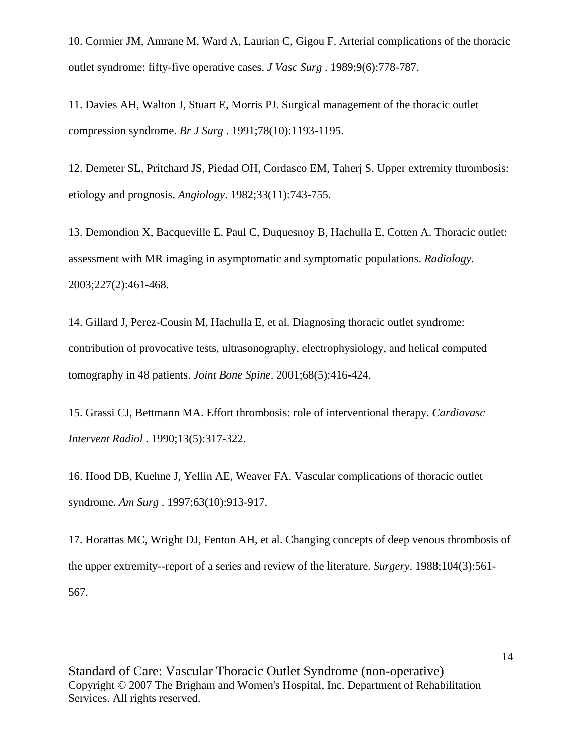10. Cormier JM, Amrane M, Ward A, Laurian C, Gigou F. Arterial complications of the thoracic outlet syndrome: fifty-five operative cases. *J Vasc Surg* . 1989;9(6):778-787.

11. Davies AH, Walton J, Stuart E, Morris PJ. Surgical management of the thoracic outlet compression syndrome. *Br J Surg* . 1991;78(10):1193-1195.

12. Demeter SL, Pritchard JS, Piedad OH, Cordasco EM, Taherj S. Upper extremity thrombosis: etiology and prognosis. *Angiology*. 1982;33(11):743-755.

13. Demondion X, Bacqueville E, Paul C, Duquesnoy B, Hachulla E, Cotten A. Thoracic outlet: assessment with MR imaging in asymptomatic and symptomatic populations. *Radiology*. 2003;227(2):461-468.

14. Gillard J, Perez-Cousin M, Hachulla E, et al. Diagnosing thoracic outlet syndrome: contribution of provocative tests, ultrasonography, electrophysiology, and helical computed tomography in 48 patients. *Joint Bone Spine*. 2001;68(5):416-424.

15. Grassi CJ, Bettmann MA. Effort thrombosis: role of interventional therapy. *Cardiovasc Intervent Radiol* . 1990;13(5):317-322.

16. Hood DB, Kuehne J, Yellin AE, Weaver FA. Vascular complications of thoracic outlet syndrome. *Am Surg* . 1997;63(10):913-917.

17. Horattas MC, Wright DJ, Fenton AH, et al. Changing concepts of deep venous thrombosis of the upper extremity--report of a series and review of the literature. *Surgery*. 1988;104(3):561- 567.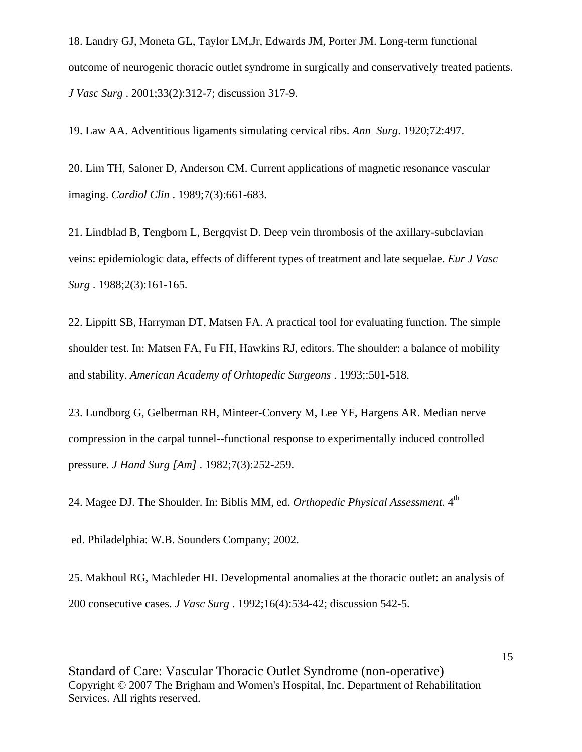18. Landry GJ, Moneta GL, Taylor LM,Jr, Edwards JM, Porter JM. Long-term functional outcome of neurogenic thoracic outlet syndrome in surgically and conservatively treated patients. *J Vasc Surg* . 2001;33(2):312-7; discussion 317-9.

19. Law AA. Adventitious ligaments simulating cervical ribs. *Ann Surg*. 1920;72:497.

20. Lim TH, Saloner D, Anderson CM. Current applications of magnetic resonance vascular imaging. *Cardiol Clin* . 1989;7(3):661-683.

21. Lindblad B, Tengborn L, Bergqvist D. Deep vein thrombosis of the axillary-subclavian veins: epidemiologic data, effects of different types of treatment and late sequelae. *Eur J Vasc Surg* . 1988;2(3):161-165.

22. Lippitt SB, Harryman DT, Matsen FA. A practical tool for evaluating function. The simple shoulder test. In: Matsen FA, Fu FH, Hawkins RJ, editors. The shoulder: a balance of mobility and stability. *American Academy of Orhtopedic Surgeons* . 1993;:501-518.

23. Lundborg G, Gelberman RH, Minteer-Convery M, Lee YF, Hargens AR. Median nerve compression in the carpal tunnel--functional response to experimentally induced controlled pressure. *J Hand Surg [Am]* . 1982;7(3):252-259.

24. Magee DJ. The Shoulder. In: Biblis MM, ed. *Orthopedic Physical Assessment.* 4th

ed. Philadelphia: W.B. Sounders Company; 2002.

25. Makhoul RG, Machleder HI. Developmental anomalies at the thoracic outlet: an analysis of 200 consecutive cases. *J Vasc Surg* . 1992;16(4):534-42; discussion 542-5.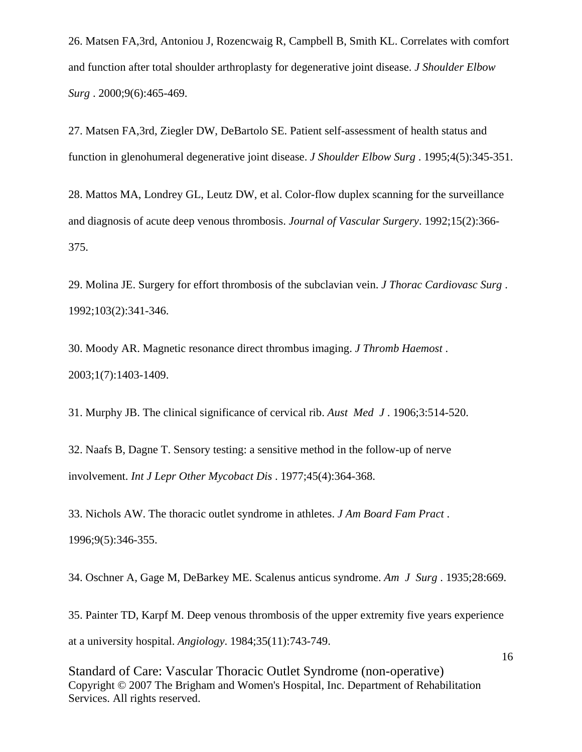26. Matsen FA,3rd, Antoniou J, Rozencwaig R, Campbell B, Smith KL. Correlates with comfort and function after total shoulder arthroplasty for degenerative joint disease. *J Shoulder Elbow Surg* . 2000;9(6):465-469.

27. Matsen FA,3rd, Ziegler DW, DeBartolo SE. Patient self-assessment of health status and function in glenohumeral degenerative joint disease. *J Shoulder Elbow Surg* . 1995;4(5):345-351.

28. Mattos MA, Londrey GL, Leutz DW, et al. Color-flow duplex scanning for the surveillance and diagnosis of acute deep venous thrombosis. *Journal of Vascular Surgery*. 1992;15(2):366- 375.

29. Molina JE. Surgery for effort thrombosis of the subclavian vein. *J Thorac Cardiovasc Surg* . 1992;103(2):341-346.

30. Moody AR. Magnetic resonance direct thrombus imaging. *J Thromb Haemost* . 2003;1(7):1403-1409.

31. Murphy JB. The clinical significance of cervical rib. *Aust Med J* . 1906;3:514-520.

32. Naafs B, Dagne T. Sensory testing: a sensitive method in the follow-up of nerve involvement. *Int J Lepr Other Mycobact Dis* . 1977;45(4):364-368.

33. Nichols AW. The thoracic outlet syndrome in athletes. *J Am Board Fam Pract* . 1996;9(5):346-355.

34. Oschner A, Gage M, DeBarkey ME. Scalenus anticus syndrome. *Am J Surg* . 1935;28:669.

35. Painter TD, Karpf M. Deep venous thrombosis of the upper extremity five years experience at a university hospital. *Angiology*. 1984;35(11):743-749.

Standard of Care: Vascular Thoracic Outlet Syndrome (non-operative) Copyright © 2007 The Brigham and Women's Hospital, Inc. Department of Rehabilitation Services. All rights reserved.

16